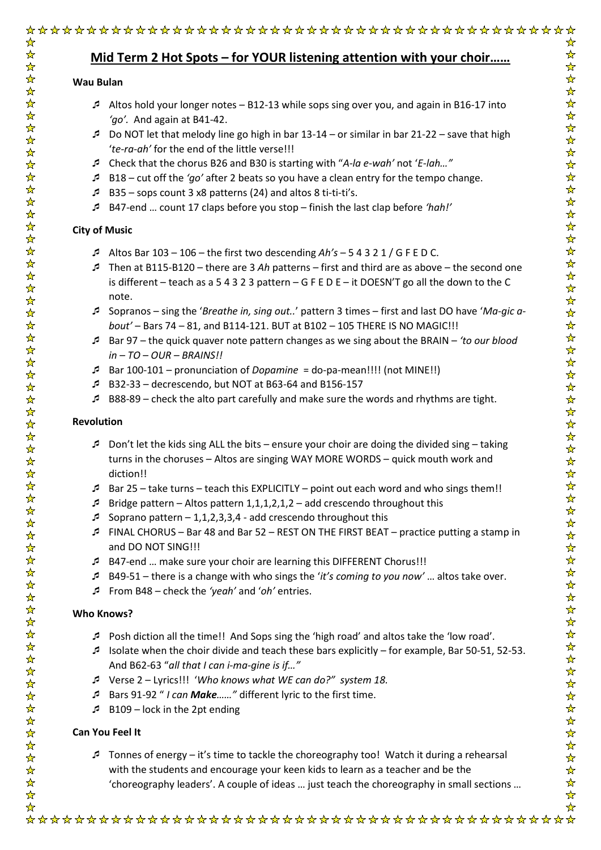# **Mid Term 2 Hot Spots – for YOUR listening attention with your choir……**

### **Wau Bulan**

- Altos hold your longer notes B12-13 while sops sing over you, and again in B16-17 into *'go'.* And again at B41-42.
- Do NOT let that melody line go high in bar  $13-14$  or similar in bar  $21-22$  save that high '*te-ra-ah'* for the end of the little verse!!!
- Check that the chorus B26 and B30 is starting with "*A-la e-wah'* not '*E-lah…"*
- B18 cut off the *'go'* after 2 beats so you have a clean entry for the tempo change.
- B35 sops count 3 x8 patterns (24) and altos 8 ti-ti-ti's.
- B47-end … count 17 claps before you stop finish the last clap before *'hah!'*

## **City of Music**

- Altos Bar 103 106 the first two descending *Ah's* 5 4 3 2 1 / G F E D C.
- Then at B115-B120 there are 3 *Ah* patterns first and third are as above the second one is different – teach as a 5 4 3 2 3 pattern – G F E D E – it DOESN'T go all the down to the C note.
- Sopranos sing the '*Breathe in, sing out..*' pattern 3 times first and last DO have '*Ma-gic about'* – Bars 74 – 81, and B114-121. BUT at B102 – 105 THERE IS NO MAGIC!!!
- Bar 97 the quick quaver note pattern changes as we sing about the BRAIN *'to our blood in – TO – OUR – BRAINS!!*
- Bar 100-101 pronunciation of *Dopamine* = do-pa-mean!!!! (not MINE!!)
- B32-33 decrescendo, but NOT at B63-64 and B156-157
- B88-89 check the alto part carefully and make sure the words and rhythms are tight.

## **Revolution**

- Don't let the kids sing ALL the bits ensure your choir are doing the divided sing taking turns in the choruses – Altos are singing WAY MORE WORDS – quick mouth work and diction!!
- Bar 25 take turns teach this EXPLICITLY point out each word and who sings them!!
- **Bridge pattern Altos pattern 1,1,1,2,1,2 add crescendo throughout this**
- Soprano pattern  $-1,1,2,3,3,4$  add crescendo throughout this
- FINAL CHORUS Bar 48 and Bar 52 REST ON THE FIRST BEAT practice putting a stamp in and DO NOT SING!!!
- B47-end … make sure your choir are learning this DIFFERENT Chorus!!!
- B49-51 there is a change with who sings the '*it's coming to you now'* … altos take over.
- From B48 check the *'yeah'* and '*oh'* entries.

## **Who Knows?**

- Posh diction all the time!! And Sops sing the 'high road' and altos take the 'low road'.
- **Isolate when the choir divide and teach these bars explicitly for example, Bar 50-51, 52-53.** And B62-63 "*all that I can i-ma-gine is if…"*
- Verse 2 Lyrics!!! '*Who knows what WE can do?" system 18.*
- Bars 91-92 " *I can Make……"* different lyric to the first time.
- $B = 109 \text{lock}$  in the 2pt ending

# **Can You Feel It**

Tonnes of energy – it's time to tackle the choreography too! Watch it during a rehearsal with the students and encourage your keen kids to learn as a teacher and be the 'choreography leaders'. A couple of ideas … just teach the choreography in small sections …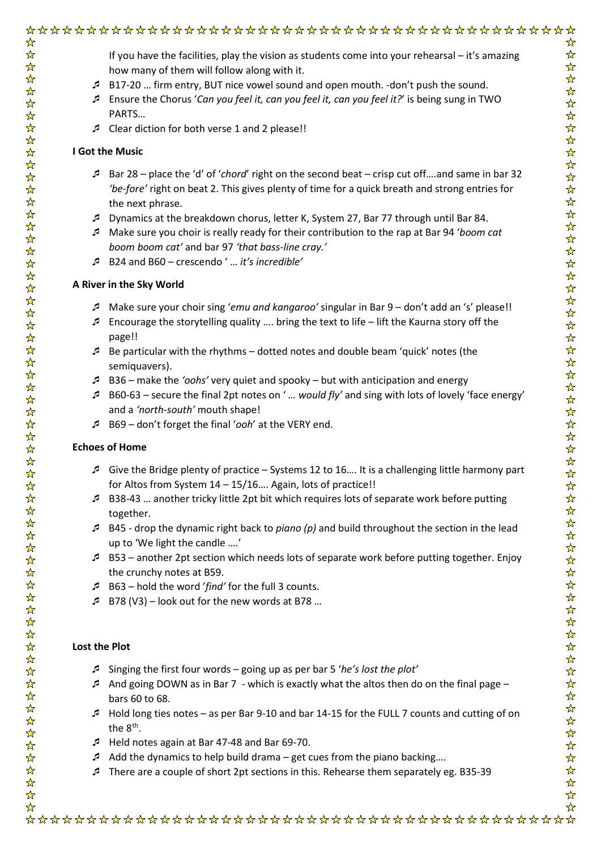If you have the facilities, play the vision as students come into your rehearsal – it's amazing how many of them will follow along with it.

- B17-20 … firm entry, BUT nice vowel sound and open mouth. -don't push the sound.
- Ensure the Chorus '*Can you feel it, can you feel it, can you feel it?*' is being sung in TWO PARTS…
- Clear diction for both verse 1 and 2 please!!

#### **I Got the Music**

- Bar 28 place the 'd' of '*chord*' right on the second beat crisp cut off….and same in bar 32 *'be-fore'* right on beat 2. This gives plenty of time for a quick breath and strong entries for the next phrase.
- Dynamics at the breakdown chorus, letter K, System 27, Bar 77 through until Bar 84.
- Make sure you choir is really ready for their contribution to the rap at Bar 94 '*boom cat boom boom cat'* and bar 97 *'that bass-line cray.'*
- B24 and B60 crescendo ' … *it's incredible'*

#### **A River in the Sky World**

- Make sure your choir sing '*emu and kangaroo'* singular in Bar 9 don't add an 's' please!!
- Encourage the storytelling quality .... bring the text to life lift the Kaurna story off the page!!
- Be particular with the rhythms dotted notes and double beam 'quick' notes (the semiquavers).
- B36 make the *'oohs'* very quiet and spooky but with anticipation and energy
- B60-63 secure the final 2pt notes on ' *… would fly'* and sing with lots of lovely 'face energy' and a *'north-south'* mouth shape!
- B69 don't forget the final '*ooh*' at the VERY end.

#### **Echoes of Home**

 $\frac{1}{\sqrt{2}}$ 

- Give the Bridge plenty of practice Systems 12 to 16…. It is a challenging little harmony part for Altos from System 14 – 15/16…. Again, lots of practice!!
- B38-43 … another tricky little 2pt bit which requires lots of separate work before putting together.
- B45 drop the dynamic right back to *piano (p)* and build throughout the section in the lead up to 'We light the candle ….'
- B53 another 2pt section which needs lots of separate work before putting together. Enjoy the crunchy notes at B59.
- B63 hold the word '*find'* for the full 3 counts.
- B78 (V3) look out for the new words at B78 …

#### **Lost the Plot**

- Singing the first four words going up as per bar 5 '*he's lost the plot'*
- And going DOWN as in Bar 7 which is exactly what the altos then do on the final page bars 60 to 68.
- Hold long ties notes as per Bar 9-10 and bar 14-15 for the FULL 7 counts and cutting of on the 8<sup>th</sup>.
- Held notes again at Bar 47-48 and Bar 69-70.
- Add the dynamics to help build drama get cues from the piano backing....
- There are a couple of short 2pt sections in this. Rehearse them separately eg. B35-39